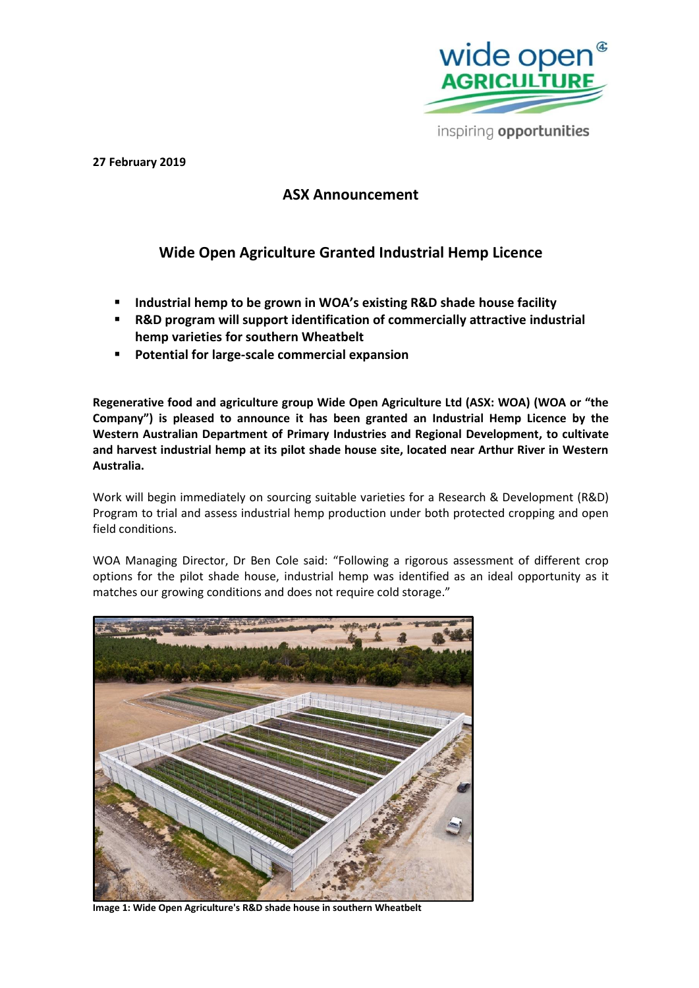

**27 February 2019** 

## **ASX Announcement**

# **Wide Open Agriculture Granted Industrial Hemp Licence**

- **Industrial hemp to be grown in WOA's existing R&D shade house facility**
- **R&D program will support identification of commercially attractive industrial hemp varieties for southern Wheatbelt**
- **Potential for large-scale commercial expansion**

**Regenerative food and agriculture group Wide Open Agriculture Ltd (ASX: WOA) (WOA or "the Company") is pleased to announce it has been granted an Industrial Hemp Licence by the Western Australian Department of Primary Industries and Regional Development, to cultivate and harvest industrial hemp at its pilot shade house site, located near Arthur River in Western Australia.**

Work will begin immediately on sourcing suitable varieties for a Research & Development (R&D) Program to trial and assess industrial hemp production under both protected cropping and open field conditions.

WOA Managing Director, Dr Ben Cole said: "Following a rigorous assessment of different crop options for the pilot shade house, industrial hemp was identified as an ideal opportunity as it matches our growing conditions and does not require cold storage."



**Image 1: Wide Open Agriculture's R&D shade house in southern Wheatbelt**